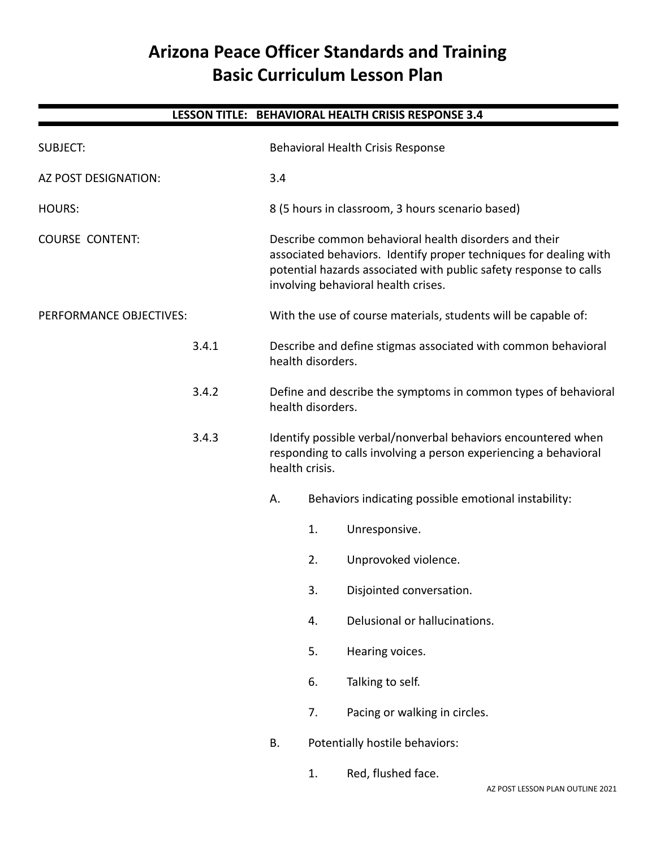# **Arizona Peace Officer Standards and Training Basic Curriculum Lesson Plan**

**LESSON TITLE: BEHAVIORAL HEALTH CRISIS RESPONSE 3.4**

# SUBJECT: Behavioral Health Crisis Response AZ POST DESIGNATION: 3.4 HOURS: 8 (5 hours in classroom, 3 hours scenario based) COURSE CONTENT: Describe common behavioral health disorders and their associated behaviors. Identify proper techniques for dealing with potential hazards associated with public safety response to calls involving behavioral health crises. PERFORMANCE OBJECTIVES: With the use of course materials, students will be capable of: 3.4.1 Describe and define stigmas associated with common behavioral health disorders. 3.4.2 Define and describe the symptoms in common types of behavioral health disorders. 3.4.3 Identify possible verbal/nonverbal behaviors encountered when responding to calls involving a person experiencing a behavioral health crisis. A. Behaviors indicating possible emotional instability: 1. Unresponsive. 2. Unprovoked violence. 3. Disjointed conversation.

- 4. Delusional or hallucinations.
- 5. Hearing voices.
- 6. Talking to self.
- 7. Pacing or walking in circles.
- B. Potentially hostile behaviors:
	- 1. Red, flushed face.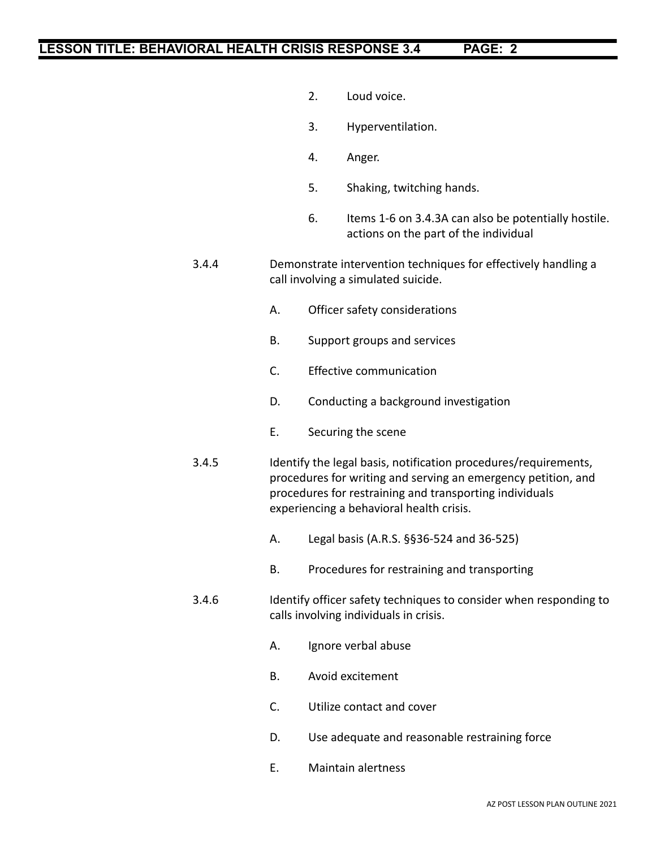- 2. Loud voice.
- 3. Hyperventilation.
- 4. Anger.
- 5. Shaking, twitching hands.
- 6. Items 1-6 on 3.4.3A can also be potentially hostile. actions on the part of the individual
- 3.4.4 Demonstrate intervention techniques for effectively handling a call involving a simulated suicide.
	- A. Officer safety considerations
	- B. Support groups and services
	- C. Effective communication
	- D. Conducting a background investigation
	- E. Securing the scene
- 3.4.5 Identify the legal basis, notification procedures/requirements, procedures for writing and serving an emergency petition, and procedures for restraining and transporting individuals experiencing a behavioral health crisis.
	- A. Legal basis (A.R.S. §§36-524 and 36-525)
	- B. Procedures for restraining and transporting
- 3.4.6 Identify officer safety techniques to consider when responding to calls involving individuals in crisis.
	- A. Ignore verbal abuse
	- B. Avoid excitement
	- C. Utilize contact and cover
	- D. Use adequate and reasonable restraining force
	- E. Maintain alertness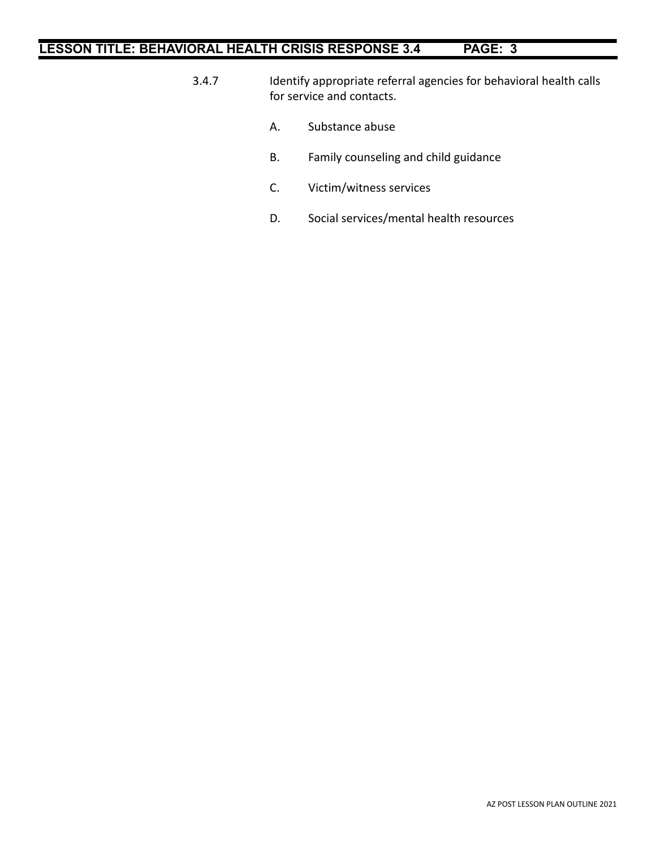- 3.4.7 Identify appropriate referral agencies for behavioral health calls for service and contacts.
	- A. Substance abuse
	- B. Family counseling and child guidance
	- C. Victim/witness services
	- D. Social services/mental health resources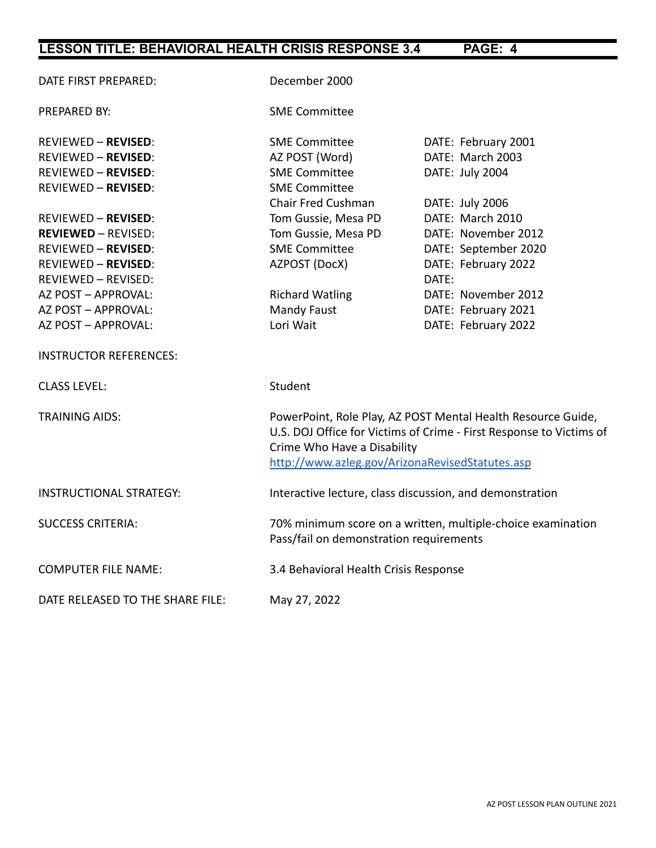| DATE FIRST PREPARED:             | December 2000                                                                                                                                                                                                         |                      |
|----------------------------------|-----------------------------------------------------------------------------------------------------------------------------------------------------------------------------------------------------------------------|----------------------|
| PREPARED BY:                     | <b>SME Committee</b>                                                                                                                                                                                                  |                      |
| <b>REVIEWED - REVISED:</b>       | <b>SME Committee</b>                                                                                                                                                                                                  | DATE: February 2001  |
| <b>REVIEWED - REVISED:</b>       | AZ POST (Word)                                                                                                                                                                                                        | DATE: March 2003     |
| <b>REVIEWED - REVISED:</b>       | <b>SME Committee</b>                                                                                                                                                                                                  | DATE: July 2004      |
| <b>REVIEWED - REVISED:</b>       | <b>SME Committee</b>                                                                                                                                                                                                  |                      |
|                                  | Chair Fred Cushman                                                                                                                                                                                                    | DATE: July 2006      |
| <b>REVIEWED - REVISED:</b>       | Tom Gussie, Mesa PD                                                                                                                                                                                                   | DATE: March 2010     |
| <b>REVIEWED - REVISED:</b>       | Tom Gussie, Mesa PD                                                                                                                                                                                                   | DATE: November 2012  |
| <b>REVIEWED - REVISED:</b>       | <b>SME Committee</b>                                                                                                                                                                                                  | DATE: September 2020 |
| <b>REVIEWED - REVISED:</b>       | AZPOST (DocX)                                                                                                                                                                                                         | DATE: February 2022  |
| <b>REVIEWED - REVISED:</b>       |                                                                                                                                                                                                                       | DATE:                |
| AZ POST - APPROVAL:              | <b>Richard Watling</b>                                                                                                                                                                                                | DATE: November 2012  |
| AZ POST - APPROVAL:              | Mandy Faust                                                                                                                                                                                                           | DATE: February 2021  |
| AZ POST - APPROVAL:              | Lori Wait                                                                                                                                                                                                             | DATE: February 2022  |
| <b>INSTRUCTOR REFERENCES:</b>    |                                                                                                                                                                                                                       |                      |
| <b>CLASS LEVEL:</b>              | Student                                                                                                                                                                                                               |                      |
| <b>TRAINING AIDS:</b>            | PowerPoint, Role Play, AZ POST Mental Health Resource Guide,<br>U.S. DOJ Office for Victims of Crime - First Response to Victims of<br>Crime Who Have a Disability<br>http://www.azleg.gov/ArizonaRevisedStatutes.asp |                      |
| <b>INSTRUCTIONAL STRATEGY:</b>   | Interactive lecture, class discussion, and demonstration                                                                                                                                                              |                      |
| <b>SUCCESS CRITERIA:</b>         | 70% minimum score on a written, multiple-choice examination<br>Pass/fail on demonstration requirements                                                                                                                |                      |
| <b>COMPUTER FILE NAME:</b>       | 3.4 Behavioral Health Crisis Response                                                                                                                                                                                 |                      |
| DATE RELEASED TO THE SHARE FILE: | May 27, 2022                                                                                                                                                                                                          |                      |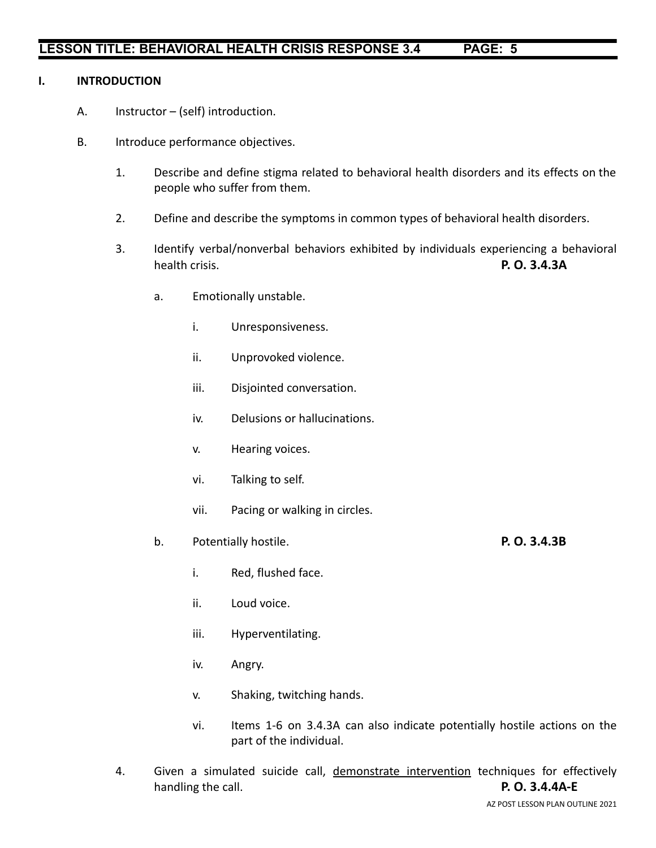#### **I. INTRODUCTION**

- A. Instructor (self) introduction.
- B. Introduce performance objectives.
	- 1. Describe and define stigma related to behavioral health disorders and its effects on the people who suffer from them.
	- 2. Define and describe the symptoms in common types of behavioral health disorders.
	- 3. Identify verbal/nonverbal behaviors exhibited by individuals experiencing a behavioral health crisis. **P. O. 3.4.3A**
		- a. Emotionally unstable.
			- i. Unresponsiveness.
			- ii. Unprovoked violence.
			- iii. Disjointed conversation.
			- iv. Delusions or hallucinations.
			- v. Hearing voices.
			- vi. Talking to self.
			- vii. Pacing or walking in circles.
		- b. Potentially hostile. **P. O. 3.4.3B**
			- i. Red, flushed face.
			- ii. Loud voice.
			- iii. Hyperventilating.
			- iv. Angry.
			- v. Shaking, twitching hands.
			- vi. Items 1-6 on 3.4.3A can also indicate potentially hostile actions on the part of the individual.
	- 4. Given a simulated suicide call, demonstrate intervention techniques for effectively handling the call. **P. O. 3.4.4A-E**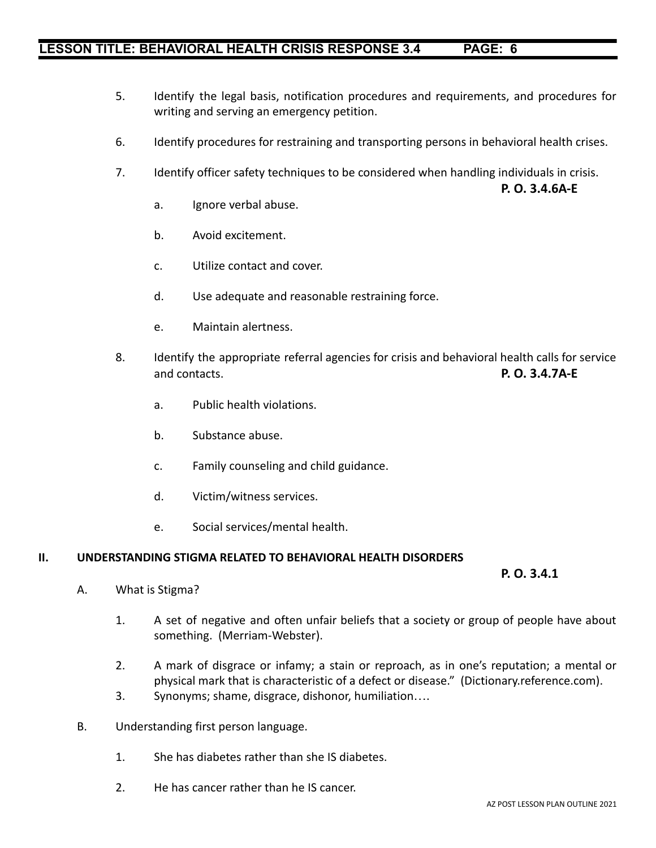- 5. Identify the legal basis, notification procedures and requirements, and procedures for writing and serving an emergency petition.
- 6. Identify procedures for restraining and transporting persons in behavioral health crises.
- 7. Identify officer safety techniques to be considered when handling individuals in crisis.
	- a. Ignore verbal abuse.
	- b. Avoid excitement.
	- c. Utilize contact and cover.
	- d. Use adequate and reasonable restraining force.
	- e. Maintain alertness.
- 8. Identify the appropriate referral agencies for crisis and behavioral health calls for service and contacts. **P. O. 3.4.7A-E**
	- a. Public health violations.
	- b. Substance abuse.
	- c. Family counseling and child guidance.
	- d. Victim/witness services.
	- e. Social services/mental health.

#### **II. UNDERSTANDING STIGMA RELATED TO BEHAVIORAL HEALTH DISORDERS**

**P. O. 3.4.1**

**P. O. 3.4.6A-E**

- A. What is Stigma?
	- 1. A set of negative and often unfair beliefs that a society or group of people have about something. (Merriam-Webster).
	- 2. A mark of disgrace or infamy; a stain or reproach, as in one's reputation; a mental or physical mark that is characteristic of a defect or disease." (Dictionary.reference.com).
	- 3. Synonyms; shame, disgrace, dishonor, humiliation….
- B. Understanding first person language.
	- 1. She has diabetes rather than she IS diabetes.
	- 2. He has cancer rather than he IS cancer.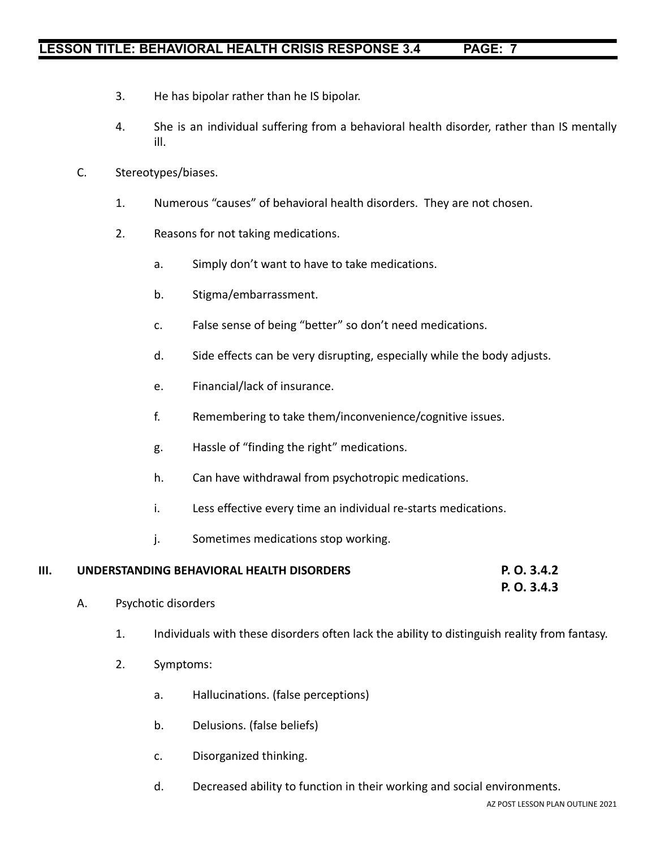- 3. He has bipolar rather than he IS bipolar.
- 4. She is an individual suffering from a behavioral health disorder, rather than IS mentally ill.
- C. Stereotypes/biases.
	- 1. Numerous "causes" of behavioral health disorders. They are not chosen.
	- 2. Reasons for not taking medications.
		- a. Simply don't want to have to take medications.
		- b. Stigma/embarrassment.
		- c. False sense of being "better" so don't need medications.
		- d. Side effects can be very disrupting, especially while the body adjusts.
		- e. Financial/lack of insurance.
		- f. Remembering to take them/inconvenience/cognitive issues.
		- g. Hassle of "finding the right" medications.
		- h. Can have withdrawal from psychotropic medications.
		- i. Less effective every time an individual re-starts medications.
		- j. Sometimes medications stop working.

# **III. UNDERSTANDING BEHAVIORAL HEALTH DISORDERS P. O. 3.4.2**

**P. O. 3.4.3**

- A. Psychotic disorders
	- 1. Individuals with these disorders often lack the ability to distinguish reality from fantasy.
	- 2. Symptoms:
		- a. Hallucinations. (false perceptions)
		- b. Delusions. (false beliefs)
		- c. Disorganized thinking.
		- d. Decreased ability to function in their working and social environments.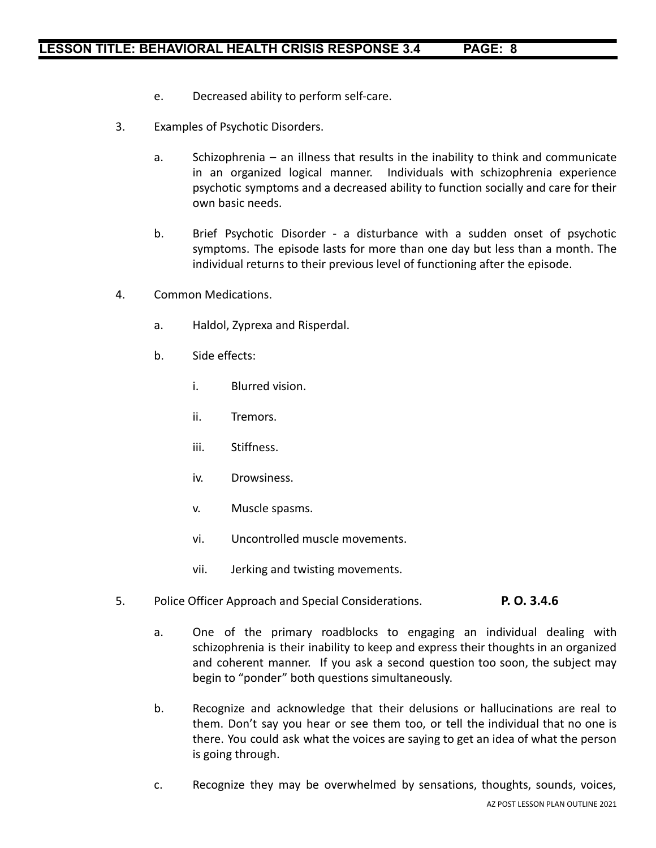- e. Decreased ability to perform self-care.
- 3. Examples of Psychotic Disorders.
	- a. Schizophrenia an illness that results in the inability to think and communicate in an organized logical manner. Individuals with schizophrenia experience psychotic symptoms and a decreased ability to function socially and care for their own basic needs.
	- b. Brief Psychotic Disorder a disturbance with a sudden onset of psychotic symptoms. The episode lasts for more than one day but less than a month. The individual returns to their previous level of functioning after the episode.
- 4. Common Medications.
	- a. Haldol, Zyprexa and Risperdal.
	- b. Side effects:
		- i. Blurred vision.
		- ii. Tremors.
		- iii. Stiffness.
		- iv. Drowsiness.
		- v. Muscle spasms.
		- vi. Uncontrolled muscle movements.
		- vii. Jerking and twisting movements.
- 5. Police Officer Approach and Special Considerations. **P. O. 3.4.6**
	- a. One of the primary roadblocks to engaging an individual dealing with schizophrenia is their inability to keep and express their thoughts in an organized and coherent manner. If you ask a second question too soon, the subject may begin to "ponder" both questions simultaneously.
	- b. Recognize and acknowledge that their delusions or hallucinations are real to them. Don't say you hear or see them too, or tell the individual that no one is there. You could ask what the voices are saying to get an idea of what the person is going through.
	- c. Recognize they may be overwhelmed by sensations, thoughts, sounds, voices,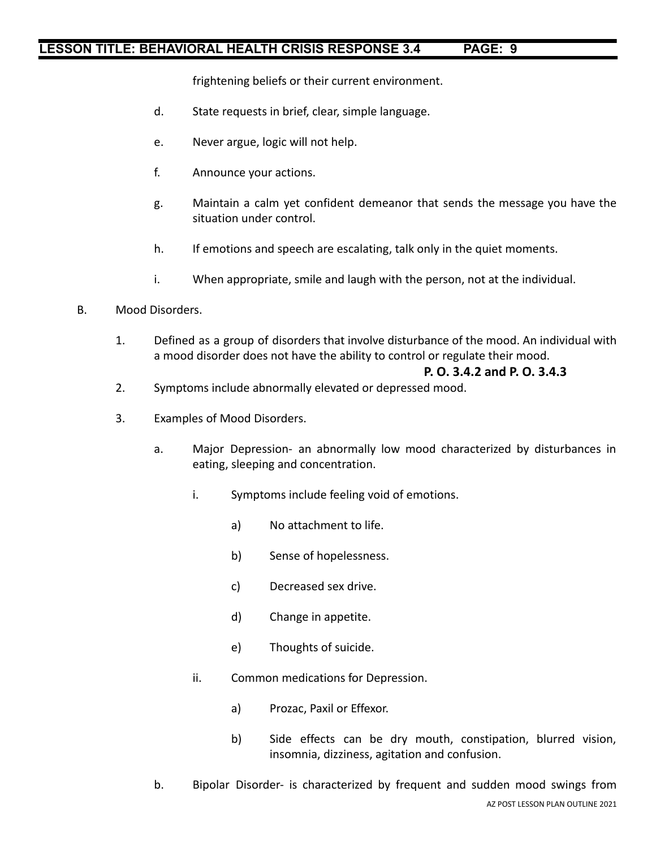frightening beliefs or their current environment.

- d. State requests in brief, clear, simple language.
- e. Never argue, logic will not help.
- f. Announce your actions.
- g. Maintain a calm yet confident demeanor that sends the message you have the situation under control.
- h. If emotions and speech are escalating, talk only in the quiet moments.
- i. When appropriate, smile and laugh with the person, not at the individual.
- B. Mood Disorders.
	- 1. Defined as a group of disorders that involve disturbance of the mood. An individual with a mood disorder does not have the ability to control or regulate their mood.

#### **P. O. 3.4.2 and P. O. 3.4.3**

- 2. Symptoms include abnormally elevated or depressed mood.
- 3. Examples of Mood Disorders.
	- a. Major Depression- an abnormally low mood characterized by disturbances in eating, sleeping and concentration.
		- i. Symptoms include feeling void of emotions.
			- a) No attachment to life.
			- b) Sense of hopelessness.
			- c) Decreased sex drive.
			- d) Change in appetite.
			- e) Thoughts of suicide.
		- ii. Common medications for Depression.
			- a) Prozac, Paxil or Effexor.
			- b) Side effects can be dry mouth, constipation, blurred vision, insomnia, dizziness, agitation and confusion.
	- b. Bipolar Disorder- is characterized by frequent and sudden mood swings from AZ POST LESSON PLAN OUTLINE 2021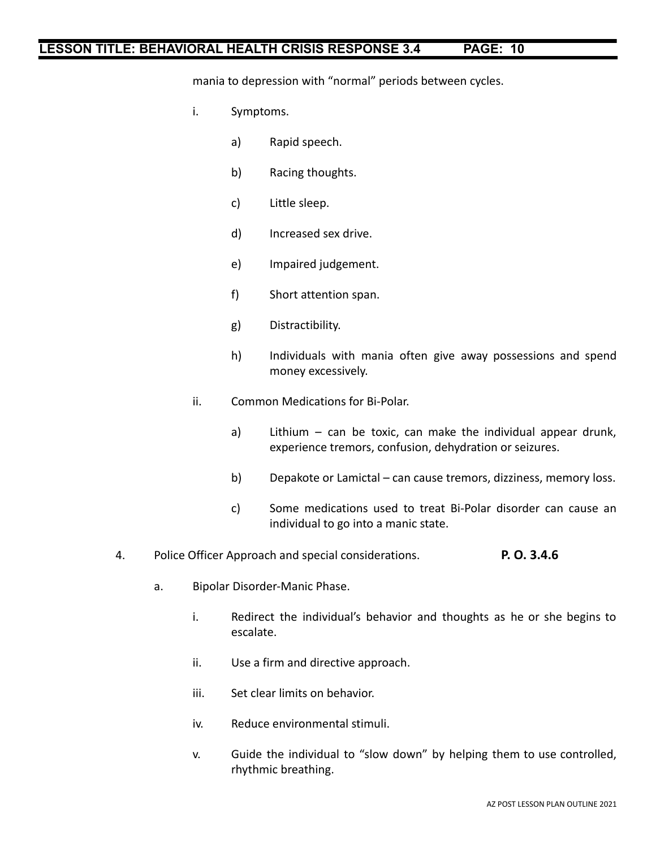mania to depression with "normal" periods between cycles.

- i. Symptoms.
	- a) Rapid speech.
	- b) Racing thoughts.
	- c) Little sleep.
	- d) Increased sex drive.
	- e) Impaired judgement.
	- f) Short attention span.
	- g) Distractibility.
	- h) Individuals with mania often give away possessions and spend money excessively.
- ii. Common Medications for Bi-Polar.
	- a) Lithium can be toxic, can make the individual appear drunk, experience tremors, confusion, dehydration or seizures.
	- b) Depakote or Lamictal can cause tremors, dizziness, memory loss.
	- c) Some medications used to treat Bi-Polar disorder can cause an individual to go into a manic state.
- 4. Police Officer Approach and special considerations. **P. O. 3.4.6**
	- a. Bipolar Disorder-Manic Phase.
		- i. Redirect the individual's behavior and thoughts as he or she begins to escalate.
		- ii. Use a firm and directive approach.
		- iii. Set clear limits on behavior.
		- iv. Reduce environmental stimuli.
		- v. Guide the individual to "slow down" by helping them to use controlled, rhythmic breathing.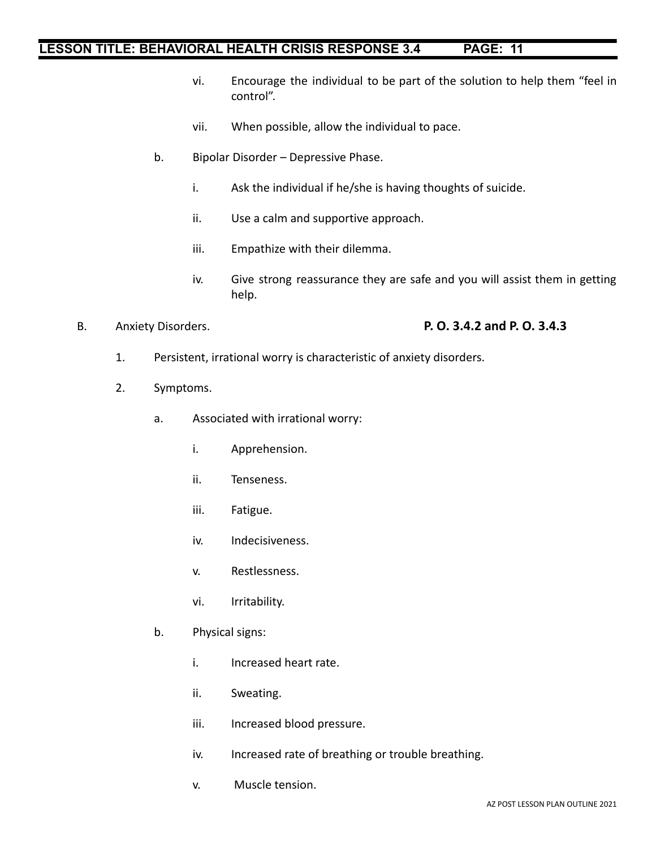- vi. Encourage the individual to be part of the solution to help them "feel in control".
- vii. When possible, allow the individual to pace.
- b. Bipolar Disorder Depressive Phase.
	- i. Ask the individual if he/she is having thoughts of suicide.
	- ii. Use a calm and supportive approach.
	- iii. Empathize with their dilemma.
	- iv. Give strong reassurance they are safe and you will assist them in getting help.

#### B. Anxiety Disorders. **P. O. 3.4.2 and P. O. 3.4.3**

- 1. Persistent, irrational worry is characteristic of anxiety disorders.
- 2. Symptoms.
	- a. Associated with irrational worry:
		- i. Apprehension.
		- ii. Tenseness.
		- iii. Fatigue.
		- iv. Indecisiveness.
		- v. Restlessness.
		- vi. Irritability.
	- b. Physical signs:
		- i. Increased heart rate.
		- ii. Sweating.
		- iii. Increased blood pressure.
		- iv. Increased rate of breathing or trouble breathing.
		- v. Muscle tension.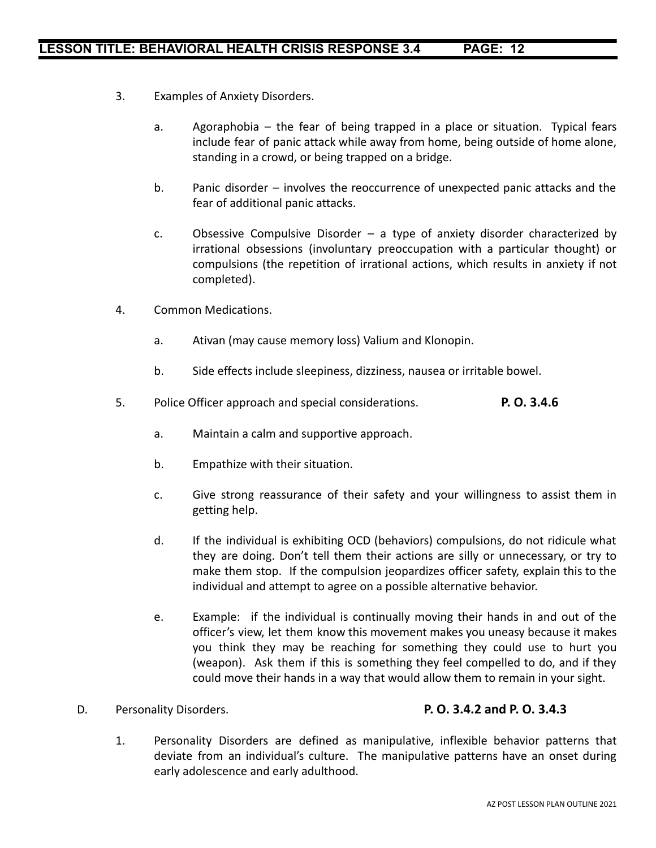- 3. Examples of Anxiety Disorders.
	- a. Agoraphobia the fear of being trapped in a place or situation. Typical fears include fear of panic attack while away from home, being outside of home alone, standing in a crowd, or being trapped on a bridge.
	- b. Panic disorder involves the reoccurrence of unexpected panic attacks and the fear of additional panic attacks.
	- c. Obsessive Compulsive Disorder a type of anxiety disorder characterized by irrational obsessions (involuntary preoccupation with a particular thought) or compulsions (the repetition of irrational actions, which results in anxiety if not completed).
- 4. Common Medications.
	- a. Ativan (may cause memory loss) Valium and Klonopin.
	- b. Side effects include sleepiness, dizziness, nausea or irritable bowel.
- 5. Police Officer approach and special considerations. **P. O. 3.4.6**
	- a. Maintain a calm and supportive approach.
	- b. Empathize with their situation.
	- c. Give strong reassurance of their safety and your willingness to assist them in getting help.
	- d. If the individual is exhibiting OCD (behaviors) compulsions, do not ridicule what they are doing. Don't tell them their actions are silly or unnecessary, or try to make them stop. If the compulsion jeopardizes officer safety, explain this to the individual and attempt to agree on a possible alternative behavior.
	- e. Example: if the individual is continually moving their hands in and out of the officer's view, let them know this movement makes you uneasy because it makes you think they may be reaching for something they could use to hurt you (weapon). Ask them if this is something they feel compelled to do, and if they could move their hands in a way that would allow them to remain in your sight.

#### D. Personality Disorders. **P. O. 3.4.2 and P. O. 3.4.3**

1. Personality Disorders are defined as manipulative, inflexible behavior patterns that deviate from an individual's culture. The manipulative patterns have an onset during early adolescence and early adulthood.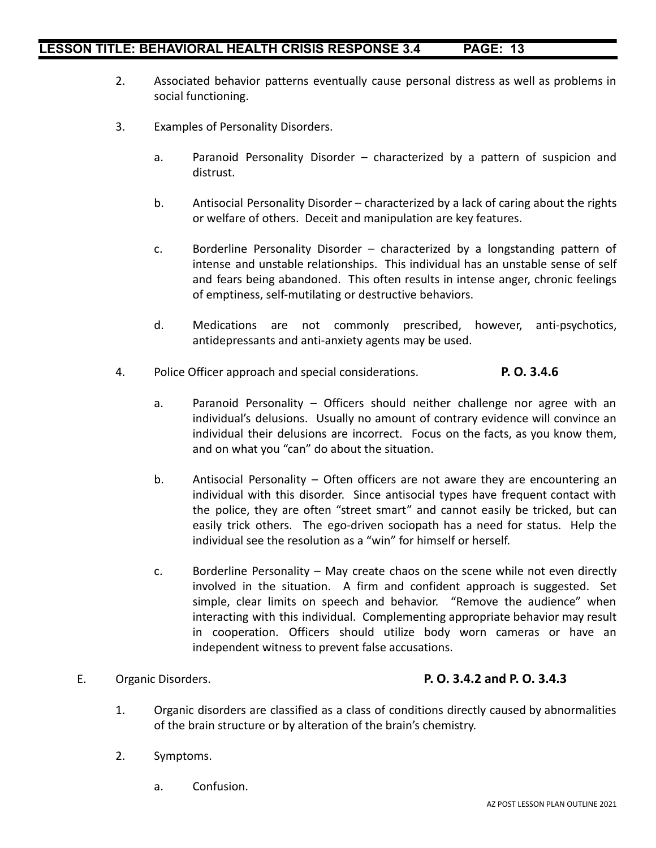- 2. Associated behavior patterns eventually cause personal distress as well as problems in social functioning.
- 3. Examples of Personality Disorders.
	- a. Paranoid Personality Disorder characterized by a pattern of suspicion and distrust.
	- b. Antisocial Personality Disorder characterized by a lack of caring about the rights or welfare of others. Deceit and manipulation are key features.
	- c. Borderline Personality Disorder characterized by a longstanding pattern of intense and unstable relationships. This individual has an unstable sense of self and fears being abandoned. This often results in intense anger, chronic feelings of emptiness, self-mutilating or destructive behaviors.
	- d. Medications are not commonly prescribed, however, anti-psychotics, antidepressants and anti-anxiety agents may be used.
- 4. Police Officer approach and special considerations. **P. O. 3.4.6**
	- a. Paranoid Personality Officers should neither challenge nor agree with an individual's delusions. Usually no amount of contrary evidence will convince an individual their delusions are incorrect. Focus on the facts, as you know them, and on what you "can" do about the situation.
	- b. Antisocial Personality Often officers are not aware they are encountering an individual with this disorder. Since antisocial types have frequent contact with the police, they are often "street smart" and cannot easily be tricked, but can easily trick others. The ego-driven sociopath has a need for status. Help the individual see the resolution as a "win" for himself or herself.
	- c. Borderline Personality May create chaos on the scene while not even directly involved in the situation. A firm and confident approach is suggested. Set simple, clear limits on speech and behavior. "Remove the audience" when interacting with this individual. Complementing appropriate behavior may result in cooperation. Officers should utilize body worn cameras or have an independent witness to prevent false accusations.

#### E. Organic Disorders. **P. O. 3.4.2 and P. O. 3.4.3**

- 1. Organic disorders are classified as a class of conditions directly caused by abnormalities of the brain structure or by alteration of the brain's chemistry.
- 2. Symptoms.
	- a. Confusion.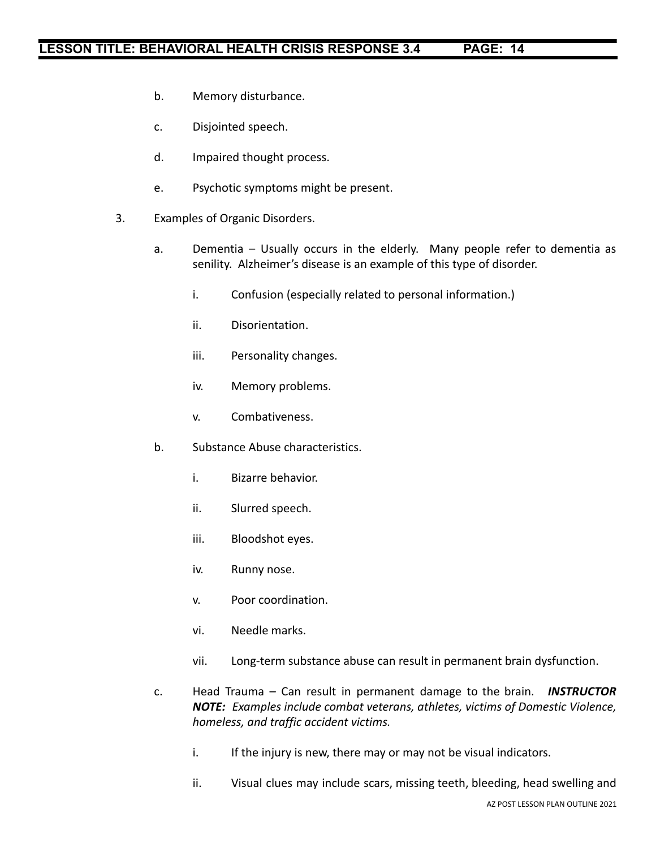- b. Memory disturbance.
- c. Disjointed speech.
- d. Impaired thought process.
- e. Psychotic symptoms might be present.
- 3. Examples of Organic Disorders.
	- a. Dementia Usually occurs in the elderly. Many people refer to dementia as senility. Alzheimer's disease is an example of this type of disorder.
		- i. Confusion (especially related to personal information.)
		- ii. Disorientation.
		- iii. Personality changes.
		- iv. Memory problems.
		- v. Combativeness.
	- b. Substance Abuse characteristics.
		- i. Bizarre behavior.
		- ii. Slurred speech.
		- iii. Bloodshot eyes.
		- iv. Runny nose.
		- v. Poor coordination.
		- vi. Needle marks.
		- vii. Long-term substance abuse can result in permanent brain dysfunction.
	- c. Head Trauma Can result in permanent damage to the brain. *INSTRUCTOR NOTE: Examples include combat veterans, athletes, victims of Domestic Violence, homeless, and traffic accident victims.*
		- i. If the injury is new, there may or may not be visual indicators.
		- ii. Visual clues may include scars, missing teeth, bleeding, head swelling and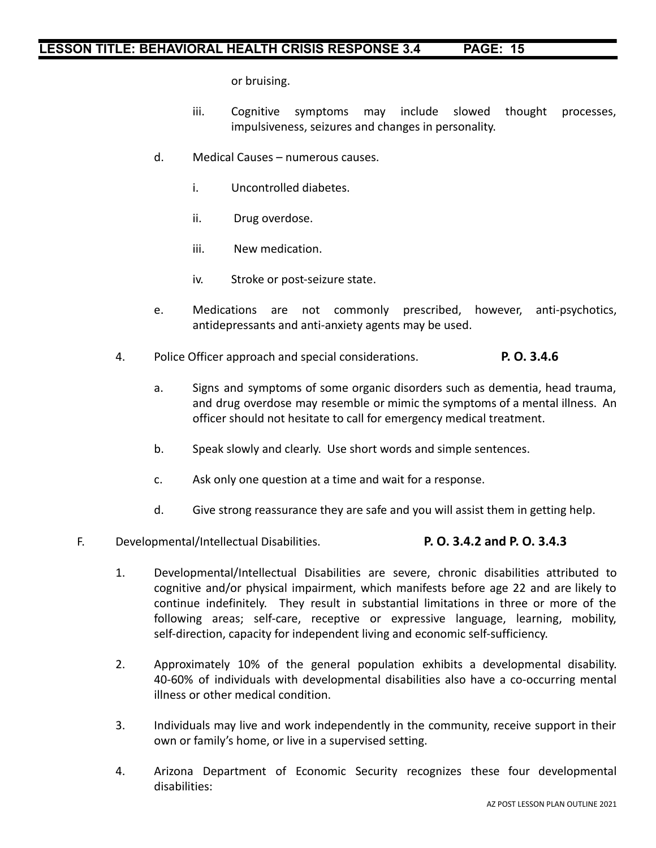or bruising.

- iii. Cognitive symptoms may include slowed thought processes, impulsiveness, seizures and changes in personality.
- d. Medical Causes numerous causes.
	- i. Uncontrolled diabetes.
	- ii. Drug overdose.
	- iii. New medication.
	- iv. Stroke or post-seizure state.
- e. Medications are not commonly prescribed, however, anti-psychotics, antidepressants and anti-anxiety agents may be used.
- 4. Police Officer approach and special considerations. **P. O. 3.4.6**
	- a. Signs and symptoms of some organic disorders such as dementia, head trauma, and drug overdose may resemble or mimic the symptoms of a mental illness. An officer should not hesitate to call for emergency medical treatment.
	- b. Speak slowly and clearly. Use short words and simple sentences.
	- c. Ask only one question at a time and wait for a response.
	- d. Give strong reassurance they are safe and you will assist them in getting help.
- F. Developmental/Intellectual Disabilities. **P. O. 3.4.2 and P. O. 3.4.3**

- 1. Developmental/Intellectual Disabilities are severe, chronic disabilities attributed to cognitive and/or physical impairment, which manifests before age 22 and are likely to continue indefinitely. They result in substantial limitations in three or more of the following areas; self-care, receptive or expressive language, learning, mobility, self-direction, capacity for independent living and economic self-sufficiency.
- 2. Approximately 10% of the general population exhibits a developmental disability. 40-60% of individuals with developmental disabilities also have a co-occurring mental illness or other medical condition.
- 3. Individuals may live and work independently in the community, receive support in their own or family's home, or live in a supervised setting.
- 4. Arizona Department of Economic Security recognizes these four developmental disabilities: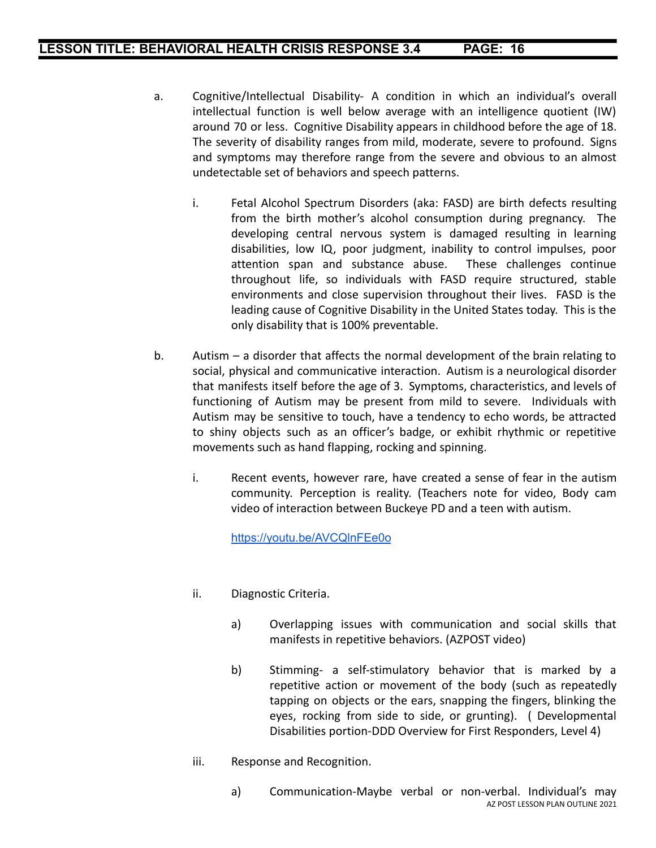- a. Cognitive/Intellectual Disability- A condition in which an individual's overall intellectual function is well below average with an intelligence quotient (IW) around 70 or less. Cognitive Disability appears in childhood before the age of 18. The severity of disability ranges from mild, moderate, severe to profound. Signs and symptoms may therefore range from the severe and obvious to an almost undetectable set of behaviors and speech patterns.
	- i. Fetal Alcohol Spectrum Disorders (aka: FASD) are birth defects resulting from the birth mother's alcohol consumption during pregnancy. The developing central nervous system is damaged resulting in learning disabilities, low IQ, poor judgment, inability to control impulses, poor attention span and substance abuse. These challenges continue throughout life, so individuals with FASD require structured, stable environments and close supervision throughout their lives. FASD is the leading cause of Cognitive Disability in the United States today. This is the only disability that is 100% preventable.
- b. Autism a disorder that affects the normal development of the brain relating to social, physical and communicative interaction. Autism is a neurological disorder that manifests itself before the age of 3. Symptoms, characteristics, and levels of functioning of Autism may be present from mild to severe. Individuals with Autism may be sensitive to touch, have a tendency to echo words, be attracted to shiny objects such as an officer's badge, or exhibit rhythmic or repetitive movements such as hand flapping, rocking and spinning.
	- i. Recent events, however rare, have created a sense of fear in the autism community. Perception is reality. (Teachers note for video, Body cam video of interaction between Buckeye PD and a teen with autism.

<https://youtu.be/AVCQlnFEe0o>

- ii. Diagnostic Criteria.
	- a) Overlapping issues with communication and social skills that manifests in repetitive behaviors. (AZPOST video)
	- b) Stimming- a self-stimulatory behavior that is marked by a repetitive action or movement of the body (such as repeatedly tapping on objects or the ears, snapping the fingers, blinking the eyes, rocking from side to side, or grunting). ( Developmental Disabilities portion-DDD Overview for First Responders, Level 4)
- iii. Response and Recognition.
	- a) Communication-Maybe verbal or non-verbal. Individual's may AZ POST LESSON PLAN OUTLINE 2021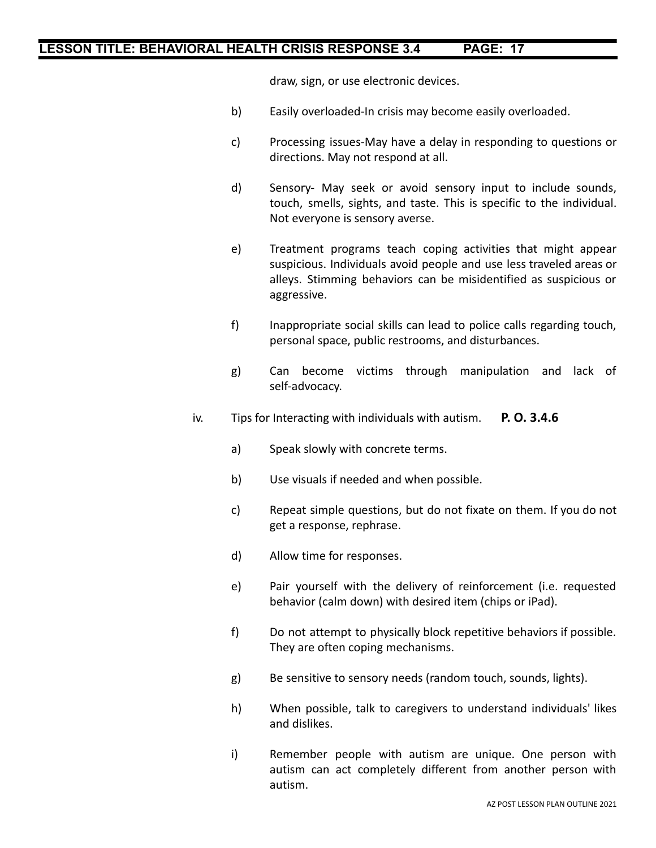draw, sign, or use electronic devices.

- b) Easily overloaded-In crisis may become easily overloaded.
- c) Processing issues-May have a delay in responding to questions or directions. May not respond at all.
- d) Sensory- May seek or avoid sensory input to include sounds, touch, smells, sights, and taste. This is specific to the individual. Not everyone is sensory averse.
- e) Treatment programs teach coping activities that might appear suspicious. Individuals avoid people and use less traveled areas or alleys. Stimming behaviors can be misidentified as suspicious or aggressive.
- f) Inappropriate social skills can lead to police calls regarding touch, personal space, public restrooms, and disturbances.
- g) Can become victims through manipulation and lack of self-advocacy.
- iv. Tips for Interacting with individuals with autism. **P. O. 3.4.6**
	- a) Speak slowly with concrete terms.
	- b) Use visuals if needed and when possible.
	- c) Repeat simple questions, but do not fixate on them. If you do not get a response, rephrase.
	- d) Allow time for responses.
	- e) Pair yourself with the delivery of reinforcement (i.e. requested behavior (calm down) with desired item (chips or iPad).
	- f) Do not attempt to physically block repetitive behaviors if possible. They are often coping mechanisms.
	- g) Be sensitive to sensory needs (random touch, sounds, lights).
	- h) When possible, talk to caregivers to understand individuals' likes and dislikes.
	- i) Remember people with autism are unique. One person with autism can act completely different from another person with autism.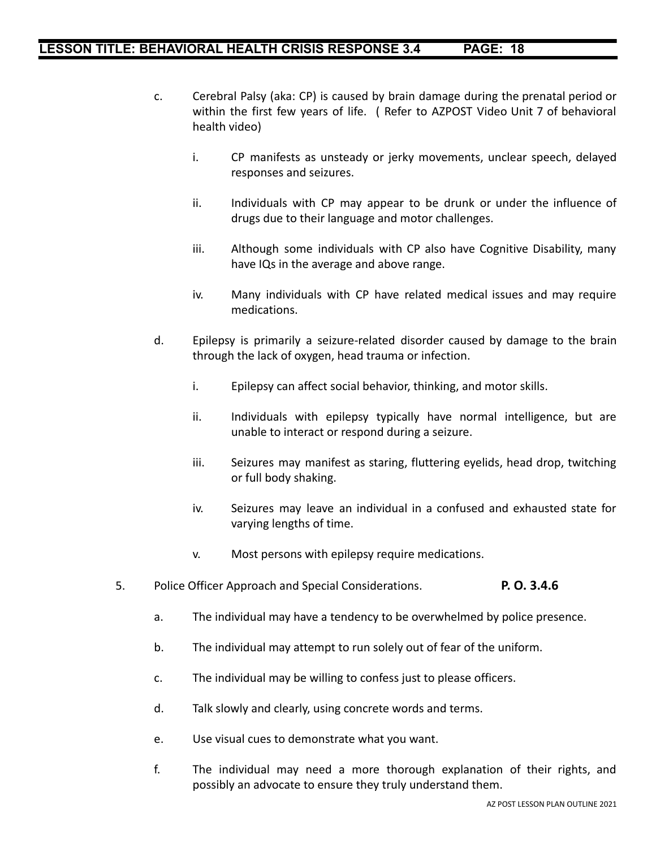- c. Cerebral Palsy (aka: CP) is caused by brain damage during the prenatal period or within the first few years of life. ( Refer to AZPOST Video Unit 7 of behavioral health video)
	- i. CP manifests as unsteady or jerky movements, unclear speech, delayed responses and seizures.
	- ii. Individuals with CP may appear to be drunk or under the influence of drugs due to their language and motor challenges.
	- iii. Although some individuals with CP also have Cognitive Disability, many have IQs in the average and above range.
	- iv. Many individuals with CP have related medical issues and may require medications.
- d. Epilepsy is primarily a seizure-related disorder caused by damage to the brain through the lack of oxygen, head trauma or infection.
	- i. Epilepsy can affect social behavior, thinking, and motor skills.
	- ii. Individuals with epilepsy typically have normal intelligence, but are unable to interact or respond during a seizure.
	- iii. Seizures may manifest as staring, fluttering eyelids, head drop, twitching or full body shaking.
	- iv. Seizures may leave an individual in a confused and exhausted state for varying lengths of time.
	- v. Most persons with epilepsy require medications.
- 5. Police Officer Approach and Special Considerations. **P. O. 3.4.6**
	- a. The individual may have a tendency to be overwhelmed by police presence.
	- b. The individual may attempt to run solely out of fear of the uniform.
	- c. The individual may be willing to confess just to please officers.
	- d. Talk slowly and clearly, using concrete words and terms.
	- e. Use visual cues to demonstrate what you want.
	- f. The individual may need a more thorough explanation of their rights, and possibly an advocate to ensure they truly understand them.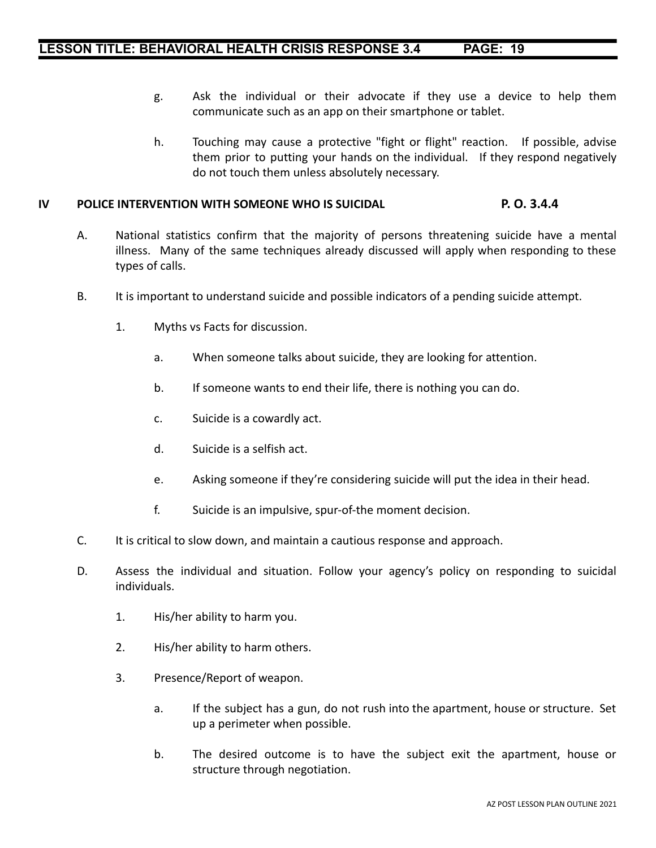- g. Ask the individual or their advocate if they use a device to help them communicate such as an app on their smartphone or tablet.
- h. Touching may cause a protective "fight or flight" reaction. If possible, advise them prior to putting your hands on the individual. If they respond negatively do not touch them unless absolutely necessary.

#### **IV POLICE INTERVENTION WITH SOMEONE WHO IS SUICIDAL P. O. 3.4.4**

- A. National statistics confirm that the majority of persons threatening suicide have a mental illness. Many of the same techniques already discussed will apply when responding to these types of calls.
- B. It is important to understand suicide and possible indicators of a pending suicide attempt.
	- 1. Myths vs Facts for discussion.
		- a. When someone talks about suicide, they are looking for attention.
		- b. If someone wants to end their life, there is nothing you can do.
		- c. Suicide is a cowardly act.
		- d. Suicide is a selfish act.
		- e. Asking someone if they're considering suicide will put the idea in their head.
		- f. Suicide is an impulsive, spur-of-the moment decision.
- C. It is critical to slow down, and maintain a cautious response and approach.
- D. Assess the individual and situation. Follow your agency's policy on responding to suicidal individuals.
	- 1. His/her ability to harm you.
	- 2. His/her ability to harm others.
	- 3. Presence/Report of weapon.
		- a. If the subject has a gun, do not rush into the apartment, house or structure. Set up a perimeter when possible.
		- b. The desired outcome is to have the subject exit the apartment, house or structure through negotiation.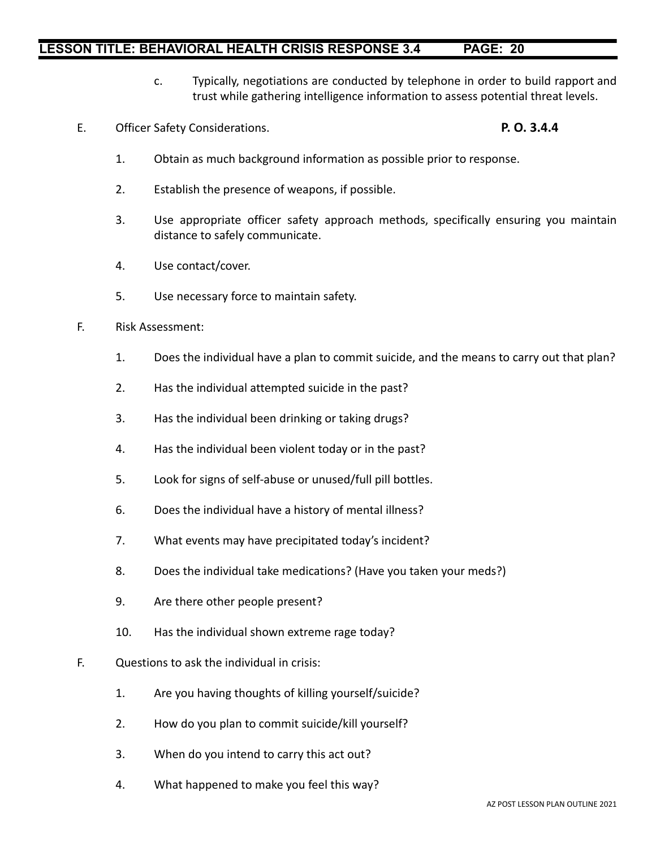- c. Typically, negotiations are conducted by telephone in order to build rapport and trust while gathering intelligence information to assess potential threat levels.
- E. Officer Safety Considerations. **P. O. 3.4.4**

- 1. Obtain as much background information as possible prior to response.
- 2. Establish the presence of weapons, if possible.
- 3. Use appropriate officer safety approach methods, specifically ensuring you maintain distance to safely communicate.
- 4. Use contact/cover.
- 5. Use necessary force to maintain safety.
- F. Risk Assessment:
	- 1. Does the individual have a plan to commit suicide, and the means to carry out that plan?
	- 2. Has the individual attempted suicide in the past?
	- 3. Has the individual been drinking or taking drugs?
	- 4. Has the individual been violent today or in the past?
	- 5. Look for signs of self-abuse or unused/full pill bottles.
	- 6. Does the individual have a history of mental illness?
	- 7. What events may have precipitated today's incident?
	- 8. Does the individual take medications? (Have you taken your meds?)
	- 9. Are there other people present?
	- 10. Has the individual shown extreme rage today?
- F. Questions to ask the individual in crisis:
	- 1. Are you having thoughts of killing yourself/suicide?
	- 2. How do you plan to commit suicide/kill yourself?
	- 3. When do you intend to carry this act out?
	- 4. What happened to make you feel this way?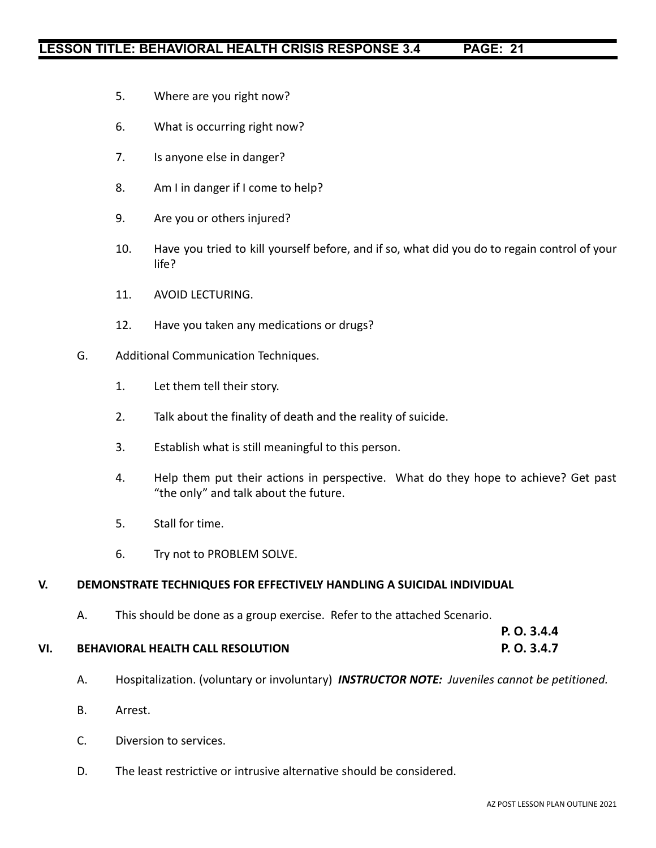- 5. Where are you right now?
- 6. What is occurring right now?
- 7. Is anyone else in danger?
- 8. Am I in danger if I come to help?
- 9. Are you or others injured?
- 10. Have you tried to kill yourself before, and if so, what did you do to regain control of your life?
- 11. AVOID LECTURING.
- 12. Have you taken any medications or drugs?
- G. Additional Communication Techniques.
	- 1. Let them tell their story.
	- 2. Talk about the finality of death and the reality of suicide.
	- 3. Establish what is still meaningful to this person.
	- 4. Help them put their actions in perspective. What do they hope to achieve? Get past "the only" and talk about the future.
	- 5. Stall for time.
	- 6. Try not to PROBLEM SOLVE.

#### **V. DEMONSTRATE TECHNIQUES FOR EFFECTIVELY HANDLING A SUICIDAL INDIVIDUAL**

A. This should be done as a group exercise. Refer to the attached Scenario.

| VI. | <b>BEHAVIORAL HEALTH CALL RESOLUTION</b> | P. O. 3.4.7 |
|-----|------------------------------------------|-------------|

- A. Hospitalization. (voluntary or involuntary) *INSTRUCTOR NOTE: Juveniles cannot be petitioned.*
- B. Arrest.
- C. Diversion to services.
- D. The least restrictive or intrusive alternative should be considered.

**P. O. 3.4.4**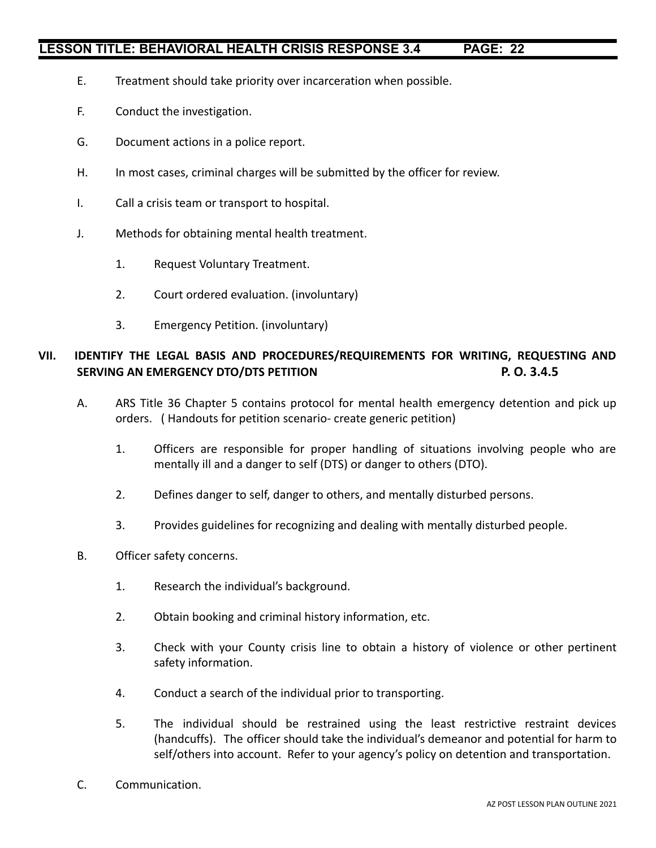- E. Treatment should take priority over incarceration when possible.
- F. Conduct the investigation.
- G. Document actions in a police report.
- H. In most cases, criminal charges will be submitted by the officer for review.
- I. Call a crisis team or transport to hospital.
- J. Methods for obtaining mental health treatment.
	- 1. Request Voluntary Treatment.
	- 2. Court ordered evaluation. (involuntary)
	- 3. Emergency Petition. (involuntary)

### **VII. IDENTIFY THE LEGAL BASIS AND PROCEDURES/REQUIREMENTS FOR WRITING, REQUESTING AND SERVING AN EMERGENCY DTO/DTS PETITION P. O. 3.4.5**

- A. ARS Title 36 Chapter 5 contains protocol for mental health emergency detention and pick up orders. ( Handouts for petition scenario- create generic petition)
	- 1. Officers are responsible for proper handling of situations involving people who are mentally ill and a danger to self (DTS) or danger to others (DTO).
	- 2. Defines danger to self, danger to others, and mentally disturbed persons.
	- 3. Provides guidelines for recognizing and dealing with mentally disturbed people.
- B. Officer safety concerns.
	- 1. Research the individual's background.
	- 2. Obtain booking and criminal history information, etc.
	- 3. Check with your County crisis line to obtain a history of violence or other pertinent safety information.
	- 4. Conduct a search of the individual prior to transporting.
	- 5. The individual should be restrained using the least restrictive restraint devices (handcuffs). The officer should take the individual's demeanor and potential for harm to self/others into account. Refer to your agency's policy on detention and transportation.
- C. Communication.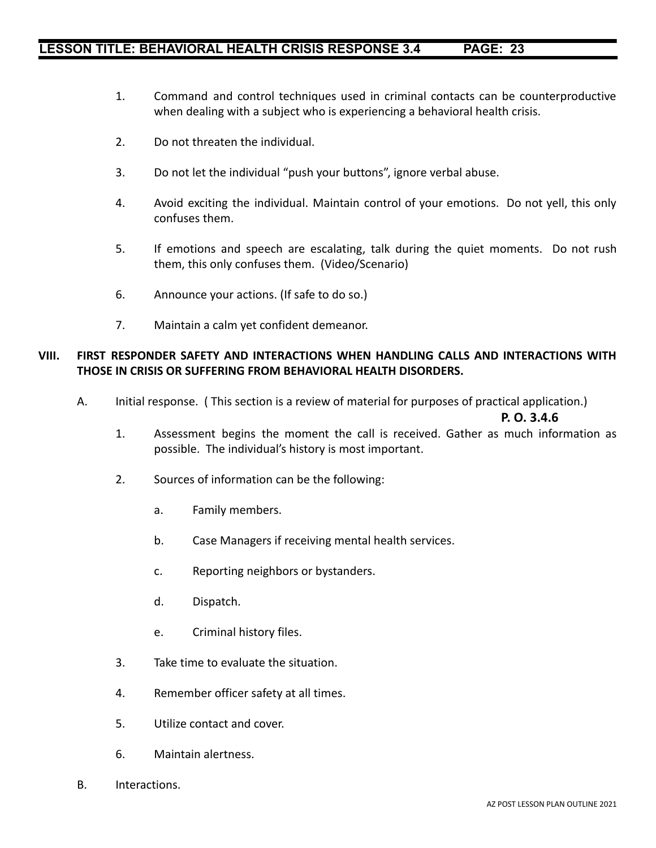- 1. Command and control techniques used in criminal contacts can be counterproductive when dealing with a subject who is experiencing a behavioral health crisis.
- 2. Do not threaten the individual.
- 3. Do not let the individual "push your buttons", ignore verbal abuse.
- 4. Avoid exciting the individual. Maintain control of your emotions. Do not yell, this only confuses them.
- 5. If emotions and speech are escalating, talk during the quiet moments. Do not rush them, this only confuses them. (Video/Scenario)
- 6. Announce your actions. (If safe to do so.)
- 7. Maintain a calm yet confident demeanor.

#### **VIII. FIRST RESPONDER SAFETY AND INTERACTIONS WHEN HANDLING CALLS AND INTERACTIONS WITH THOSE IN CRISIS OR SUFFERING FROM BEHAVIORAL HEALTH DISORDERS.**

A. Initial response. ( This section is a review of material for purposes of practical application.)

#### **P. O. 3.4.6**

- 1. Assessment begins the moment the call is received. Gather as much information as possible. The individual's history is most important.
- 2. Sources of information can be the following:
	- a. Family members.
	- b. Case Managers if receiving mental health services.
	- c. Reporting neighbors or bystanders.
	- d. Dispatch.
	- e. Criminal history files.
- 3. Take time to evaluate the situation.
- 4. Remember officer safety at all times.
- 5. Utilize contact and cover.
- 6. Maintain alertness.
- B. Interactions.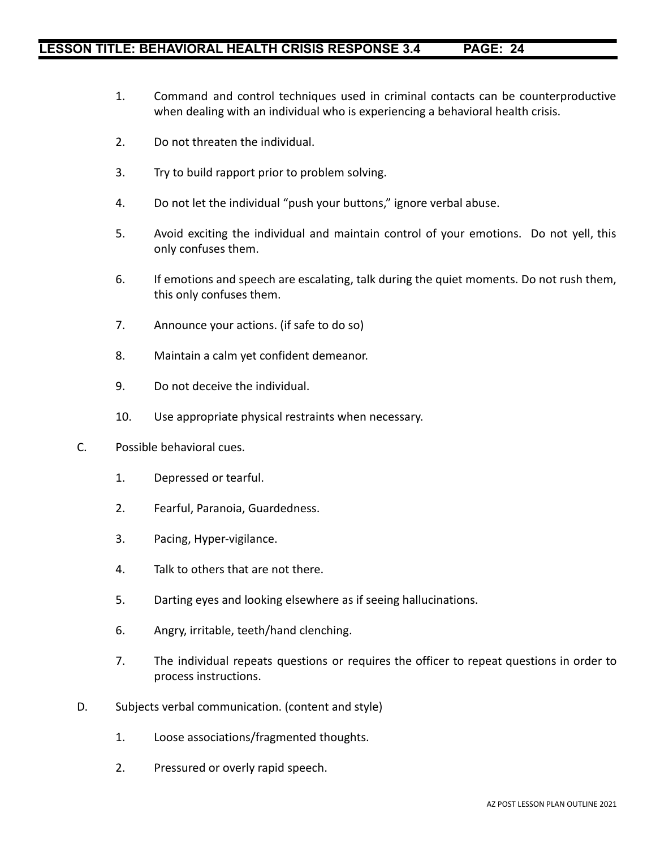- 1. Command and control techniques used in criminal contacts can be counterproductive when dealing with an individual who is experiencing a behavioral health crisis.
- 2. Do not threaten the individual.
- 3. Try to build rapport prior to problem solving.
- 4. Do not let the individual "push your buttons," ignore verbal abuse.
- 5. Avoid exciting the individual and maintain control of your emotions. Do not yell, this only confuses them.
- 6. If emotions and speech are escalating, talk during the quiet moments. Do not rush them, this only confuses them.
- 7. Announce your actions. (if safe to do so)
- 8. Maintain a calm yet confident demeanor.
- 9. Do not deceive the individual.
- 10. Use appropriate physical restraints when necessary.
- C. Possible behavioral cues.
	- 1. Depressed or tearful.
	- 2. Fearful, Paranoia, Guardedness.
	- 3. Pacing, Hyper-vigilance.
	- 4. Talk to others that are not there.
	- 5. Darting eyes and looking elsewhere as if seeing hallucinations.
	- 6. Angry, irritable, teeth/hand clenching.
	- 7. The individual repeats questions or requires the officer to repeat questions in order to process instructions.
- D. Subjects verbal communication. (content and style)
	- 1. Loose associations/fragmented thoughts.
	- 2. Pressured or overly rapid speech.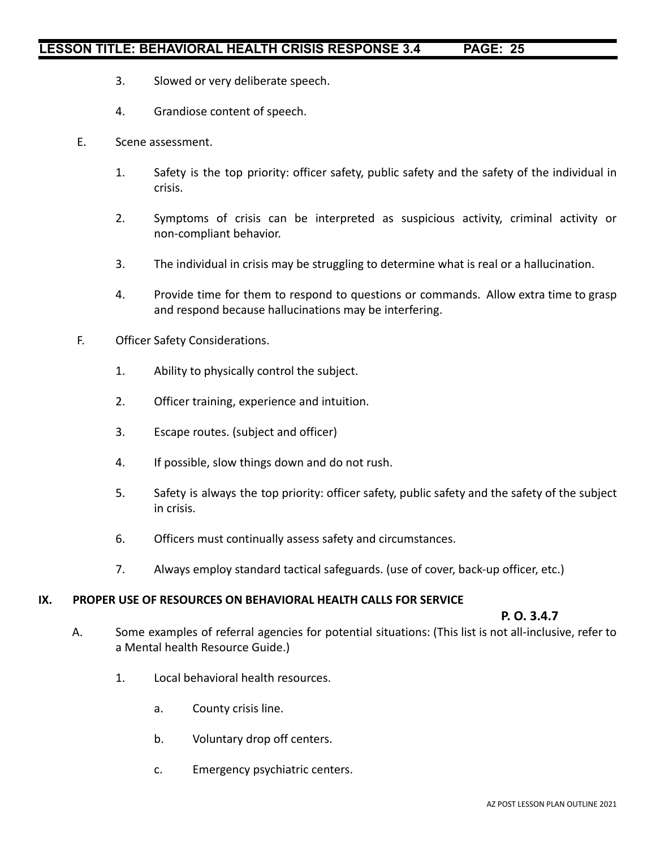- 3. Slowed or very deliberate speech.
- 4. Grandiose content of speech.
- E. Scene assessment.
	- 1. Safety is the top priority: officer safety, public safety and the safety of the individual in crisis.
	- 2. Symptoms of crisis can be interpreted as suspicious activity, criminal activity or non-compliant behavior.
	- 3. The individual in crisis may be struggling to determine what is real or a hallucination.
	- 4. Provide time for them to respond to questions or commands. Allow extra time to grasp and respond because hallucinations may be interfering.
- F. Officer Safety Considerations.
	- 1. Ability to physically control the subject.
	- 2. Officer training, experience and intuition.
	- 3. Escape routes. (subject and officer)
	- 4. If possible, slow things down and do not rush.
	- 5. Safety is always the top priority: officer safety, public safety and the safety of the subject in crisis.
	- 6. Officers must continually assess safety and circumstances.
	- 7. Always employ standard tactical safeguards. (use of cover, back-up officer, etc.)

#### **IX. PROPER USE OF RESOURCES ON BEHAVIORAL HEALTH CALLS FOR SERVICE**

#### **P. O. 3.4.7**

- A. Some examples of referral agencies for potential situations: (This list is not all-inclusive, refer to a Mental health Resource Guide.)
	- 1. Local behavioral health resources.
		- a. County crisis line.
		- b. Voluntary drop off centers.
		- c. Emergency psychiatric centers.